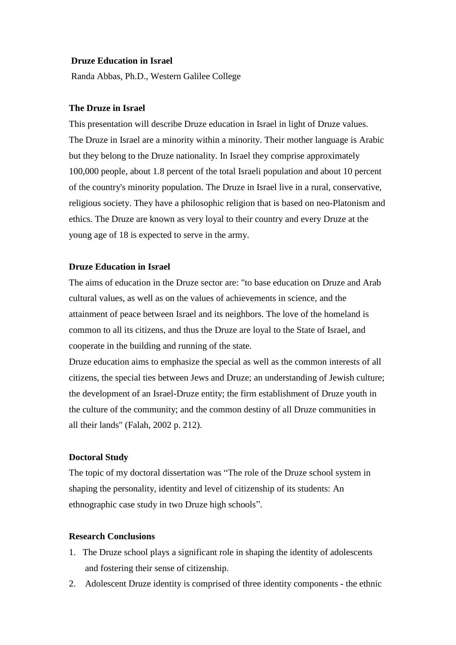#### **Druze Education in Israel**

Randa Abbas, Ph.D., Western Galilee College

## **The Druze in Israel**

This presentation will describe Druze education in Israel in light of Druze values. The Druze in Israel are a minority within a minority. Their mother language is Arabic but they belong to the Druze nationality. In Israel they comprise approximately 100,000 people, about 1.8 percent of the total Israeli population and about 10 percent of the country's minority population. The Druze in Israel live in a rural, conservative, religious society. They have a philosophic religion that is based on neo-Platonism and ethics. The Druze are known as very loyal to their country and every Druze at the young age of 18 is expected to serve in the army.

## **Druze Education in Israel**

The aims of education in the Druze sector are: "to base education on Druze and Arab cultural values, as well as on the values of achievements in science, and the attainment of peace between Israel and its neighbors. The love of the homeland is common to all its citizens, and thus the Druze are loyal to the State of Israel, and cooperate in the building and running of the state.

Druze education aims to emphasize the special as well as the common interests of all citizens, the special ties between Jews and Druze; an understanding of Jewish culture; the development of an Israel-Druze entity; the firm establishment of Druze youth in the culture of the community; and the common destiny of all Druze communities in all their lands" (Falah, 2002 p. 212).

#### **Doctoral Study**

The topic of my doctoral dissertation was "The role of the Druze school system in shaping the personality, identity and level of citizenship of its students: An ethnographic case study in two Druze high schools".

# **Research Conclusions**

- 1. The Druze school plays a significant role in shaping the identity of adolescents and fostering their sense of citizenship.
- 2. Adolescent Druze identity is comprised of three identity components the ethnic